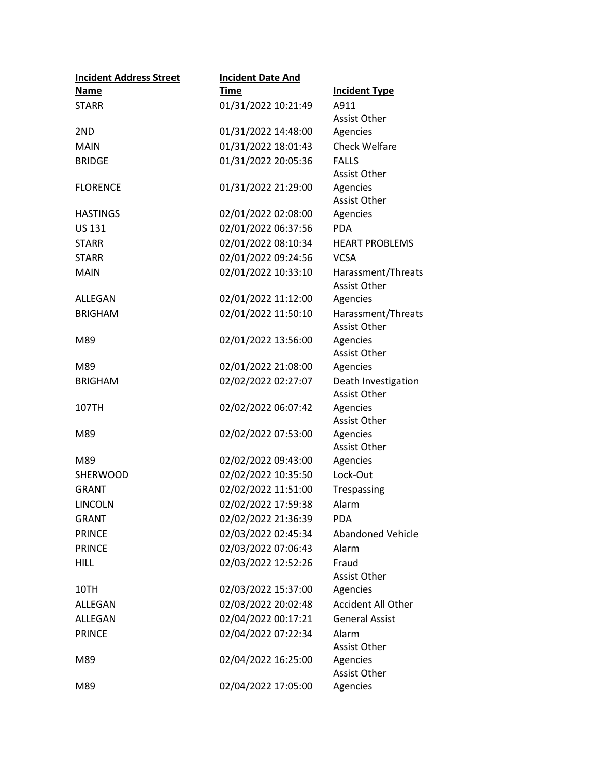| <b>Incident Address Street</b> | <b>Incident Date And</b> |                                            |
|--------------------------------|--------------------------|--------------------------------------------|
| <b>Name</b>                    | <b>Time</b>              | <b>Incident Type</b>                       |
| <b>STARR</b>                   | 01/31/2022 10:21:49      | A911                                       |
|                                |                          | <b>Assist Other</b>                        |
| 2ND                            | 01/31/2022 14:48:00      | Agencies                                   |
| <b>MAIN</b>                    | 01/31/2022 18:01:43      | <b>Check Welfare</b>                       |
| <b>BRIDGE</b>                  | 01/31/2022 20:05:36      | <b>FALLS</b>                               |
|                                |                          | <b>Assist Other</b>                        |
| <b>FLORENCE</b>                | 01/31/2022 21:29:00      | Agencies                                   |
|                                |                          | <b>Assist Other</b>                        |
| <b>HASTINGS</b>                | 02/01/2022 02:08:00      | Agencies                                   |
| <b>US 131</b>                  | 02/01/2022 06:37:56      | <b>PDA</b>                                 |
| <b>STARR</b>                   | 02/01/2022 08:10:34      | <b>HEART PROBLEMS</b>                      |
| <b>STARR</b>                   | 02/01/2022 09:24:56      | <b>VCSA</b>                                |
| <b>MAIN</b>                    | 02/01/2022 10:33:10      | Harassment/Threats<br><b>Assist Other</b>  |
| ALLEGAN                        | 02/01/2022 11:12:00      | Agencies                                   |
| <b>BRIGHAM</b>                 | 02/01/2022 11:50:10      | Harassment/Threats<br><b>Assist Other</b>  |
| M89                            | 02/01/2022 13:56:00      | Agencies                                   |
|                                |                          | <b>Assist Other</b>                        |
| M89                            | 02/01/2022 21:08:00      | Agencies                                   |
| <b>BRIGHAM</b>                 | 02/02/2022 02:27:07      | Death Investigation<br><b>Assist Other</b> |
| 107TH                          | 02/02/2022 06:07:42      | Agencies<br>Assist Other                   |
| M89                            | 02/02/2022 07:53:00      | Agencies<br>Assist Other                   |
| M89                            | 02/02/2022 09:43:00      | Agencies                                   |
| <b>SHERWOOD</b>                | 02/02/2022 10:35:50      | Lock-Out                                   |
| <b>GRANT</b>                   | 02/02/2022 11:51:00      | Trespassing                                |
| <b>LINCOLN</b>                 | 02/02/2022 17:59:38      | Alarm                                      |
| <b>GRANT</b>                   | 02/02/2022 21:36:39      | <b>PDA</b>                                 |
| <b>PRINCE</b>                  | 02/03/2022 02:45:34      | <b>Abandoned Vehicle</b>                   |
| <b>PRINCE</b>                  | 02/03/2022 07:06:43      | Alarm                                      |
| <b>HILL</b>                    | 02/03/2022 12:52:26      | Fraud                                      |
|                                |                          | <b>Assist Other</b>                        |
| 10TH                           | 02/03/2022 15:37:00      | Agencies                                   |
| <b>ALLEGAN</b>                 | 02/03/2022 20:02:48      | <b>Accident All Other</b>                  |
| <b>ALLEGAN</b>                 | 02/04/2022 00:17:21      | <b>General Assist</b>                      |
| <b>PRINCE</b>                  | 02/04/2022 07:22:34      | Alarm                                      |
|                                |                          | <b>Assist Other</b>                        |
| M89                            | 02/04/2022 16:25:00      | Agencies<br><b>Assist Other</b>            |
| M89                            | 02/04/2022 17:05:00      | Agencies                                   |